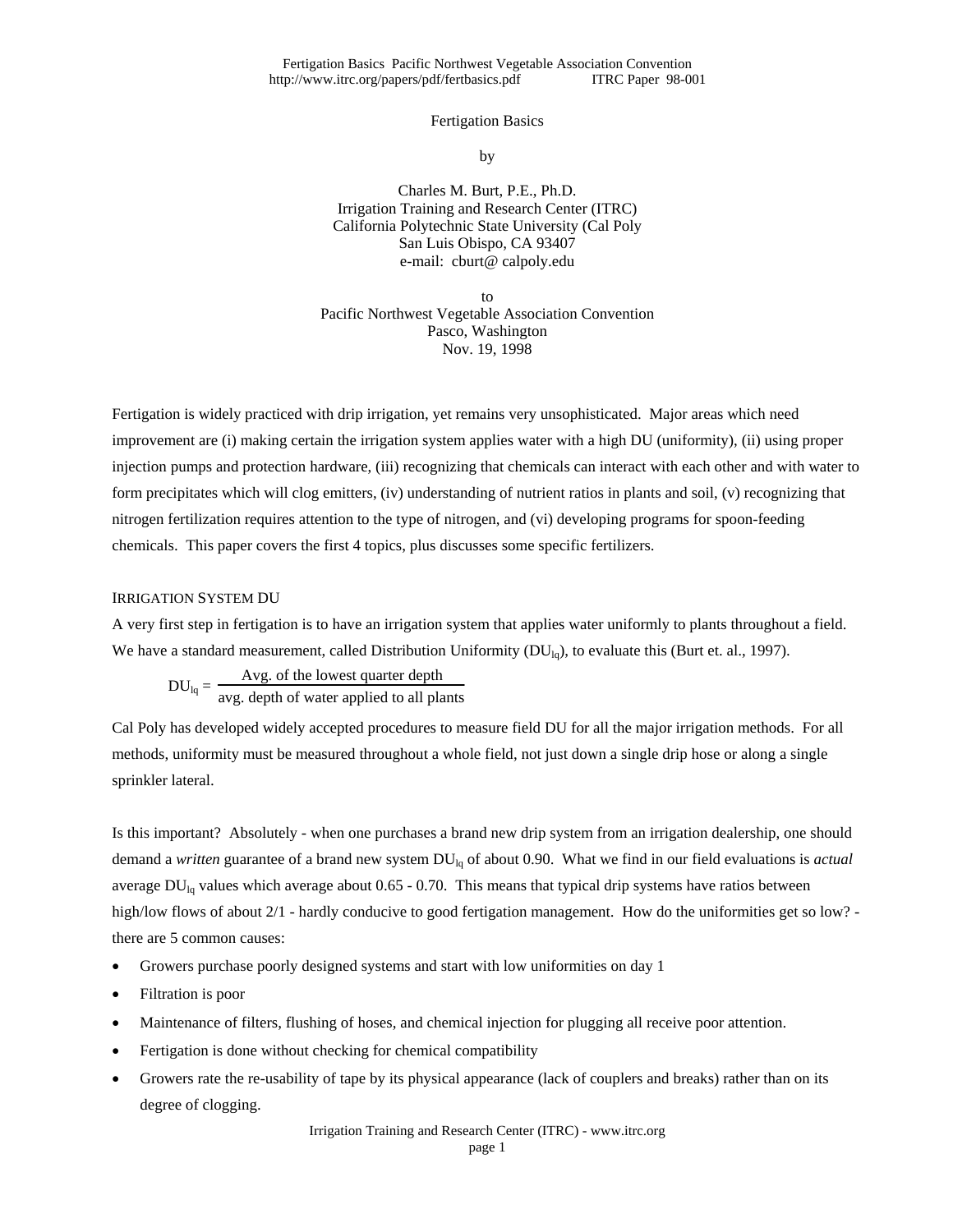Fertigation Basics Pacific Northwest Vegetable Association Convention<br>tp://www.itrc.org/papers/pdf/fertbasics.pdf [IRC Paper 98-001] http://www.itrc.org/papers/pdf/fertbasics.pdf

## Fertigation Basics

by

Charles M. Burt, P.E., Ph.D. Irrigation Training and Research Center (ITRC) California Polytechnic State University (Cal Poly San Luis Obispo, CA 93407 e-mail: cburt@ calpoly.edu

to Pacific Northwest Vegetable Association Convention Pasco, Washington Nov. 19, 1998

Fertigation is widely practiced with drip irrigation, yet remains very unsophisticated. Major areas which need improvement are (i) making certain the irrigation system applies water with a high DU (uniformity), (ii) using proper injection pumps and protection hardware, (iii) recognizing that chemicals can interact with each other and with water to form precipitates which will clog emitters, (iv) understanding of nutrient ratios in plants and soil, (v) recognizing that nitrogen fertilization requires attention to the type of nitrogen, and (vi) developing programs for spoon-feeding chemicals. This paper covers the first 4 topics, plus discusses some specific fertilizers.

## IRRIGATION SYSTEM DU

A very first step in fertigation is to have an irrigation system that applies water uniformly to plants throughout a field. We have a standard measurement, called Distribution Uniformity  $(DU_{1a})$ , to evaluate this (Burt et. al., 1997).

 $DU_{lq} = \frac{Avg. \text{ of the lowest quarter depth}}{avg. \text{ depth of water applied to all plants}}$ 

Cal Poly has developed widely accepted procedures to measure field DU for all the major irrigation methods. For all methods, uniformity must be measured throughout a whole field, not just down a single drip hose or along a single sprinkler lateral.

Is this important? Absolutely - when one purchases a brand new drip system from an irrigation dealership, one should demand a *written* guarantee of a brand new system DUlq of about 0.90. What we find in our field evaluations is *actual* average  $DU_{lq}$  values which average about 0.65 - 0.70. This means that typical drip systems have ratios between high/low flows of about 2/1 - hardly conducive to good fertigation management. How do the uniformities get so low? there are 5 common causes:

- Growers purchase poorly designed systems and start with low uniformities on day 1
- Filtration is poor
- Maintenance of filters, flushing of hoses, and chemical injection for plugging all receive poor attention.
- Fertigation is done without checking for chemical compatibility
- Growers rate the re-usability of tape by its physical appearance (lack of couplers and breaks) rather than on its degree of clogging.

Irrigation Training and Research Center (ITRC) - www.itrc.org page 1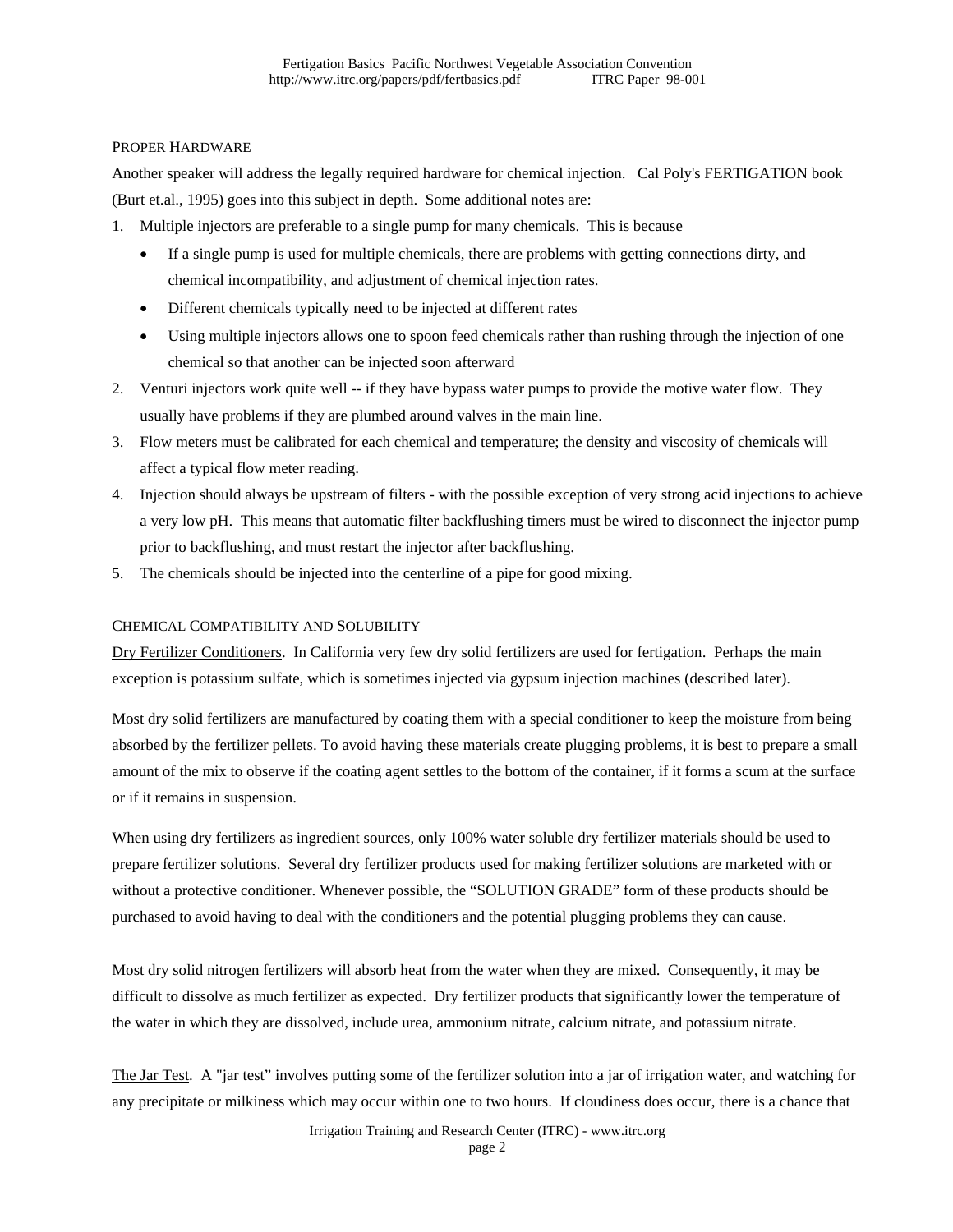### PROPER HARDWARE

Another speaker will address the legally required hardware for chemical injection. Cal Poly's FERTIGATION book (Burt et.al., 1995) goes into this subject in depth. Some additional notes are:

- 1. Multiple injectors are preferable to a single pump for many chemicals. This is because
	- If a single pump is used for multiple chemicals, there are problems with getting connections dirty, and chemical incompatibility, and adjustment of chemical injection rates.
	- Different chemicals typically need to be injected at different rates
	- Using multiple injectors allows one to spoon feed chemicals rather than rushing through the injection of one chemical so that another can be injected soon afterward
- 2. Venturi injectors work quite well -- if they have bypass water pumps to provide the motive water flow. They usually have problems if they are plumbed around valves in the main line.
- 3. Flow meters must be calibrated for each chemical and temperature; the density and viscosity of chemicals will affect a typical flow meter reading.
- 4. Injection should always be upstream of filters with the possible exception of very strong acid injections to achieve a very low pH. This means that automatic filter backflushing timers must be wired to disconnect the injector pump prior to backflushing, and must restart the injector after backflushing.
- 5. The chemicals should be injected into the centerline of a pipe for good mixing.

# CHEMICAL COMPATIBILITY AND SOLUBILITY

Dry Fertilizer Conditioners. In California very few dry solid fertilizers are used for fertigation. Perhaps the main exception is potassium sulfate, which is sometimes injected via gypsum injection machines (described later).

Most dry solid fertilizers are manufactured by coating them with a special conditioner to keep the moisture from being absorbed by the fertilizer pellets. To avoid having these materials create plugging problems, it is best to prepare a small amount of the mix to observe if the coating agent settles to the bottom of the container, if it forms a scum at the surface or if it remains in suspension.

When using dry fertilizers as ingredient sources, only 100% water soluble dry fertilizer materials should be used to prepare fertilizer solutions. Several dry fertilizer products used for making fertilizer solutions are marketed with or without a protective conditioner. Whenever possible, the "SOLUTION GRADE" form of these products should be purchased to avoid having to deal with the conditioners and the potential plugging problems they can cause.

Most dry solid nitrogen fertilizers will absorb heat from the water when they are mixed. Consequently, it may be difficult to dissolve as much fertilizer as expected. Dry fertilizer products that significantly lower the temperature of the water in which they are dissolved, include urea, ammonium nitrate, calcium nitrate, and potassium nitrate.

The Jar Test. A "jar test" involves putting some of the fertilizer solution into a jar of irrigation water, and watching for any precipitate or milkiness which may occur within one to two hours. If cloudiness does occur, there is a chance that

> Irrigation Training and Research Center (ITRC) - www.itrc.org page 2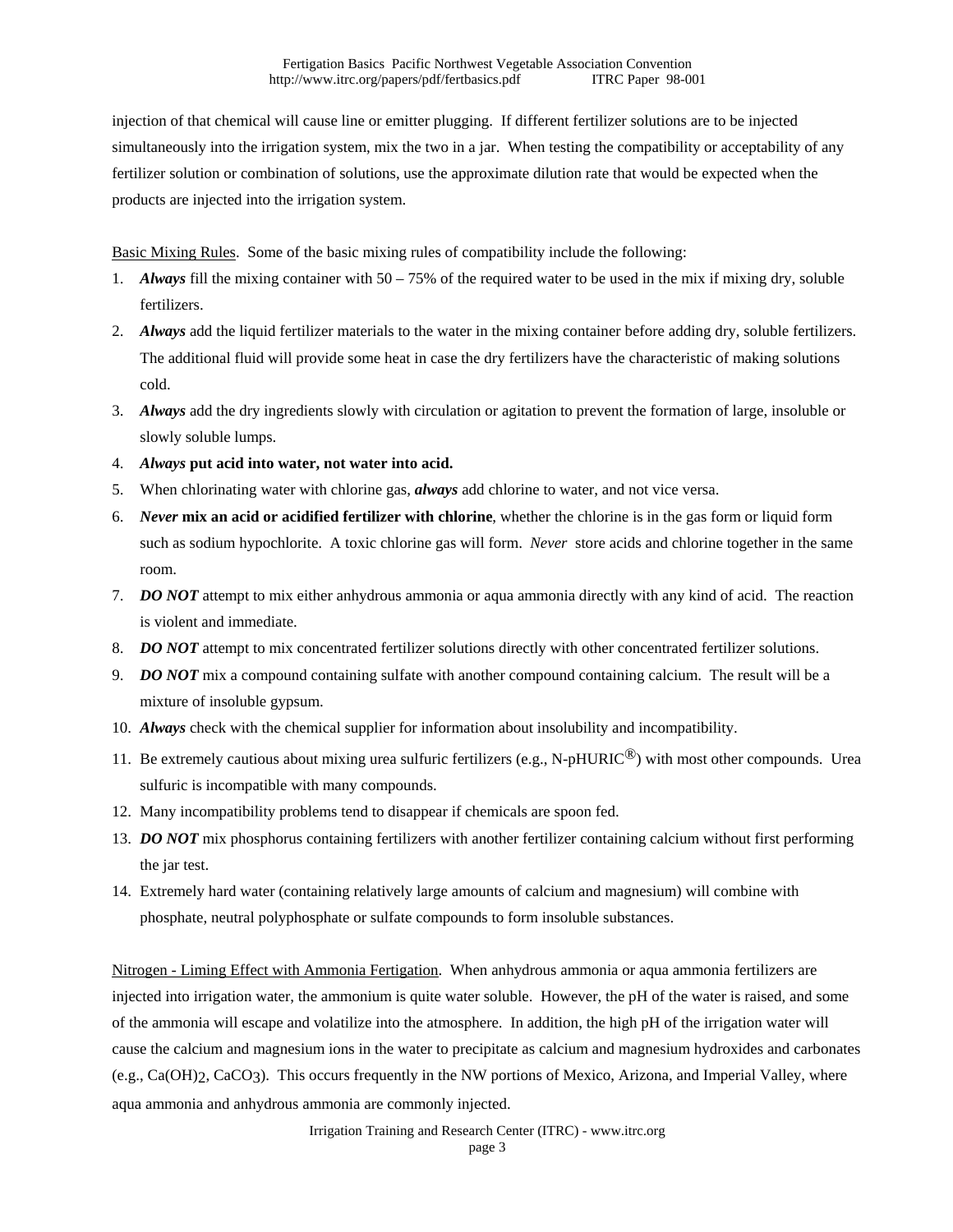injection of that chemical will cause line or emitter plugging. If different fertilizer solutions are to be injected simultaneously into the irrigation system, mix the two in a jar. When testing the compatibility or acceptability of any fertilizer solution or combination of solutions, use the approximate dilution rate that would be expected when the products are injected into the irrigation system.

Basic Mixing Rules. Some of the basic mixing rules of compatibility include the following:

- 1. *Always* fill the mixing container with 50 75% of the required water to be used in the mix if mixing dry, soluble fertilizers.
- 2. *Always* add the liquid fertilizer materials to the water in the mixing container before adding dry, soluble fertilizers. The additional fluid will provide some heat in case the dry fertilizers have the characteristic of making solutions cold.
- 3. *Always* add the dry ingredients slowly with circulation or agitation to prevent the formation of large, insoluble or slowly soluble lumps.
- 4. *Always* **put acid into water, not water into acid.**
- 5. When chlorinating water with chlorine gas, *always* add chlorine to water, and not vice versa.
- 6. *Never* **mix an acid or acidified fertilizer with chlorine**, whether the chlorine is in the gas form or liquid form such as sodium hypochlorite. A toxic chlorine gas will form. *Never* store acids and chlorine together in the same room.
- 7. *DO NOT* attempt to mix either anhydrous ammonia or aqua ammonia directly with any kind of acid. The reaction is violent and immediate.
- 8. *DO NOT* attempt to mix concentrated fertilizer solutions directly with other concentrated fertilizer solutions.
- 9. *DO NOT* mix a compound containing sulfate with another compound containing calcium. The result will be a mixture of insoluble gypsum.
- 10. *Always* check with the chemical supplier for information about insolubility and incompatibility.
- 11. Be extremely cautious about mixing urea sulfuric fertilizers (e.g., N-pHURIC<sup>®</sup>) with most other compounds. Urea sulfuric is incompatible with many compounds.
- 12. Many incompatibility problems tend to disappear if chemicals are spoon fed.
- 13. *DO NOT* mix phosphorus containing fertilizers with another fertilizer containing calcium without first performing the jar test.
- 14. Extremely hard water (containing relatively large amounts of calcium and magnesium) will combine with phosphate, neutral polyphosphate or sulfate compounds to form insoluble substances.

Nitrogen - Liming Effect with Ammonia Fertigation. When anhydrous ammonia or aqua ammonia fertilizers are injected into irrigation water, the ammonium is quite water soluble. However, the pH of the water is raised, and some of the ammonia will escape and volatilize into the atmosphere. In addition, the high pH of the irrigation water will cause the calcium and magnesium ions in the water to precipitate as calcium and magnesium hydroxides and carbonates (e.g., Ca(OH)2, CaCO3). This occurs frequently in the NW portions of Mexico, Arizona, and Imperial Valley, where aqua ammonia and anhydrous ammonia are commonly injected.

> Irrigation Training and Research Center (ITRC) - www.itrc.org page 3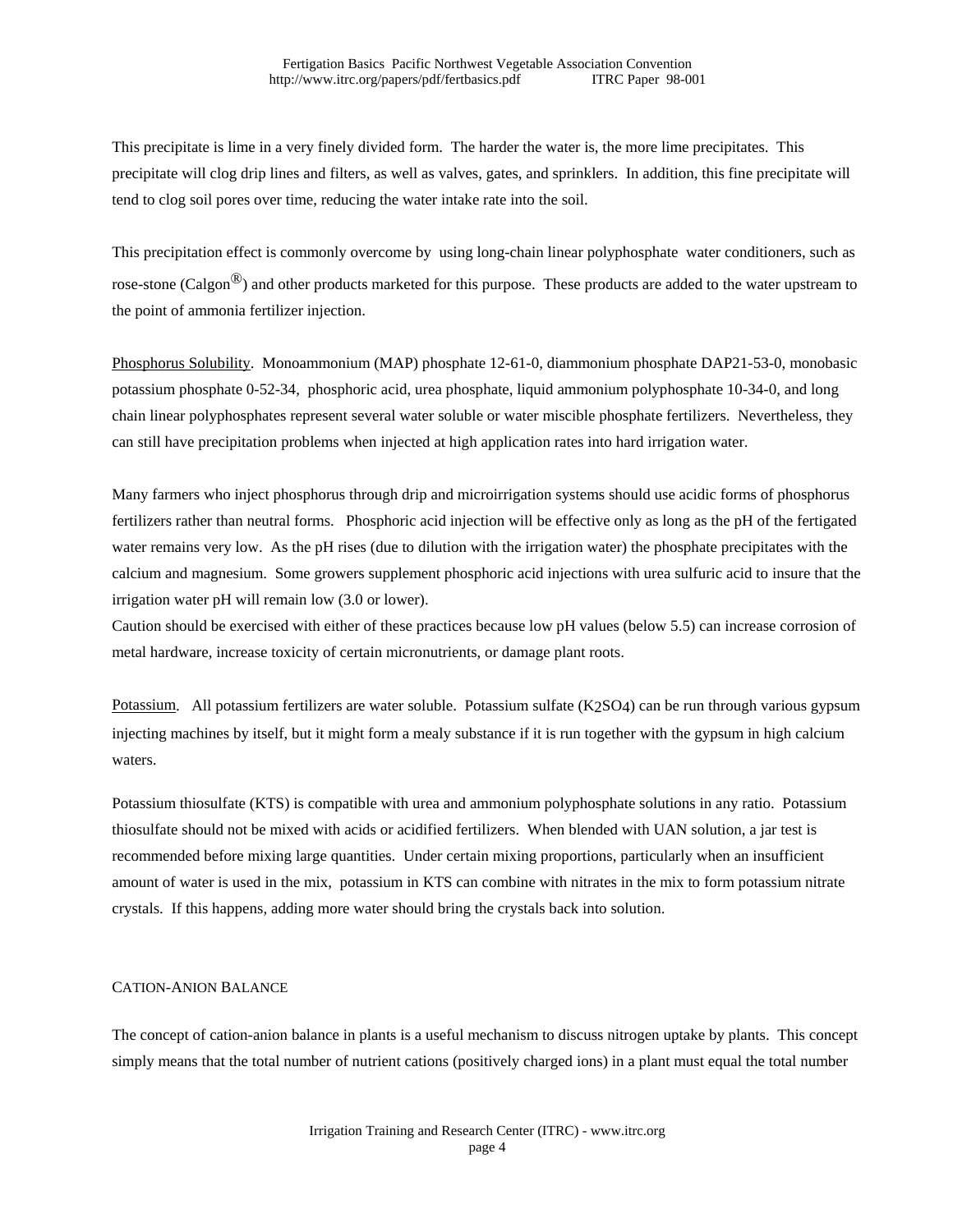This precipitate is lime in a very finely divided form. The harder the water is, the more lime precipitates. This precipitate will clog drip lines and filters, as well as valves, gates, and sprinklers. In addition, this fine precipitate will tend to clog soil pores over time, reducing the water intake rate into the soil.

This precipitation effect is commonly overcome by using long-chain linear polyphosphate water conditioners, such as rose-stone (Calgon<sup>®</sup>) and other products marketed for this purpose. These products are added to the water upstream to the point of ammonia fertilizer injection.

Phosphorus Solubility. Monoammonium (MAP) phosphate 12-61-0, diammonium phosphate DAP21-53-0, monobasic potassium phosphate 0-52-34, phosphoric acid, urea phosphate, liquid ammonium polyphosphate 10-34-0, and long chain linear polyphosphates represent several water soluble or water miscible phosphate fertilizers. Nevertheless, they can still have precipitation problems when injected at high application rates into hard irrigation water.

Many farmers who inject phosphorus through drip and microirrigation systems should use acidic forms of phosphorus fertilizers rather than neutral forms. Phosphoric acid injection will be effective only as long as the pH of the fertigated water remains very low. As the pH rises (due to dilution with the irrigation water) the phosphate precipitates with the calcium and magnesium. Some growers supplement phosphoric acid injections with urea sulfuric acid to insure that the irrigation water pH will remain low (3.0 or lower).

Caution should be exercised with either of these practices because low pH values (below 5.5) can increase corrosion of metal hardware, increase toxicity of certain micronutrients, or damage plant roots.

Potassium. All potassium fertilizers are water soluble. Potassium sulfate (K2SO4) can be run through various gypsum injecting machines by itself, but it might form a mealy substance if it is run together with the gypsum in high calcium waters.

Potassium thiosulfate (KTS) is compatible with urea and ammonium polyphosphate solutions in any ratio. Potassium thiosulfate should not be mixed with acids or acidified fertilizers. When blended with UAN solution, a jar test is recommended before mixing large quantities. Under certain mixing proportions, particularly when an insufficient amount of water is used in the mix, potassium in KTS can combine with nitrates in the mix to form potassium nitrate crystals. If this happens, adding more water should bring the crystals back into solution.

### CATION-ANION BALANCE

The concept of cation-anion balance in plants is a useful mechanism to discuss nitrogen uptake by plants. This concept simply means that the total number of nutrient cations (positively charged ions) in a plant must equal the total number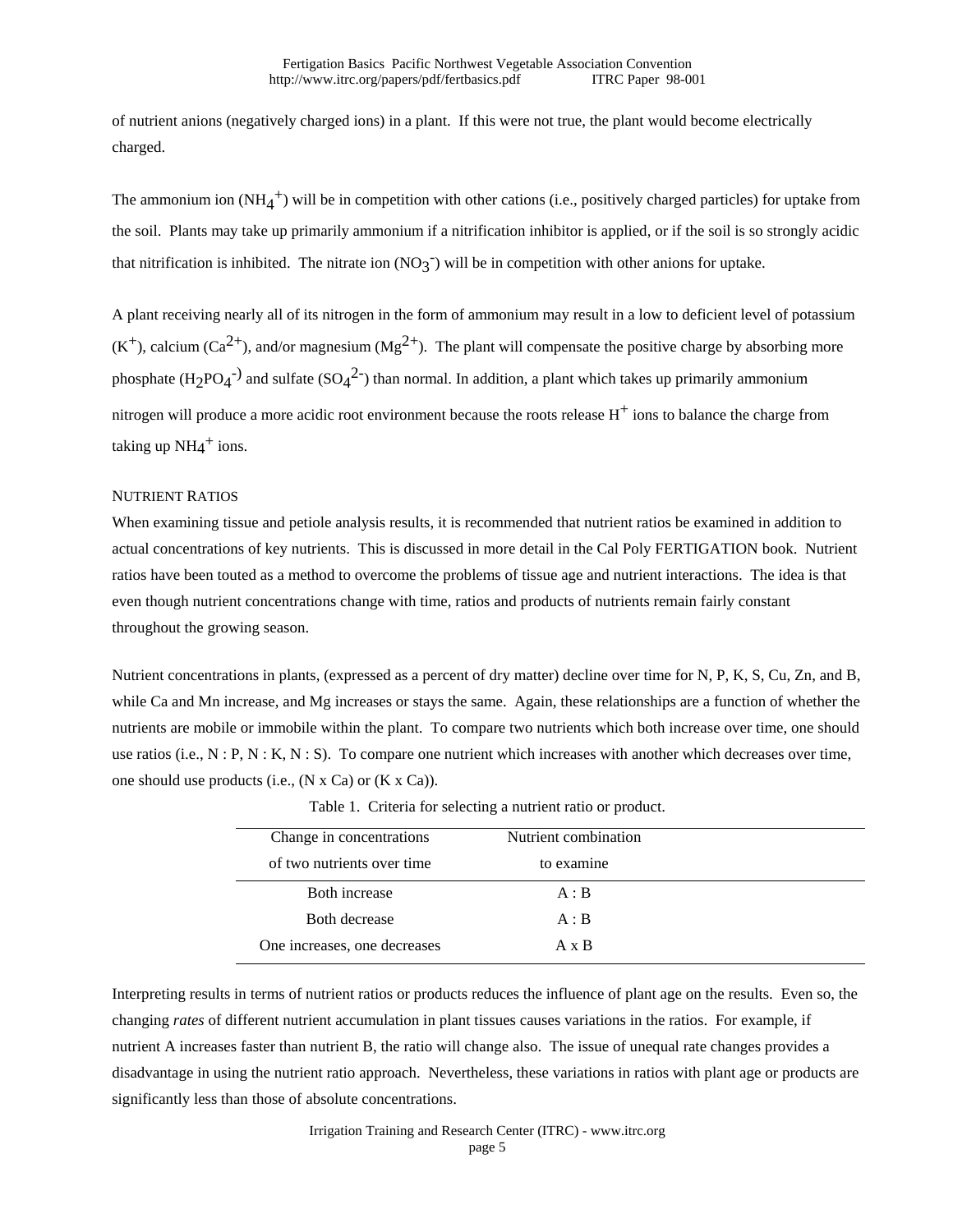of nutrient anions (negatively charged ions) in a plant. If this were not true, the plant would become electrically charged.

The ammonium ion  $(NH_4^+)$  will be in competition with other cations (i.e., positively charged particles) for uptake from the soil. Plants may take up primarily ammonium if a nitrification inhibitor is applied, or if the soil is so strongly acidic that nitrification is inhibited. The nitrate ion  $(NO<sub>3</sub><sup>-</sup>)$  will be in competition with other anions for uptake.

A plant receiving nearly all of its nitrogen in the form of ammonium may result in a low to deficient level of potassium  $(K^+)$ , calcium (Ca<sup>2+</sup>), and/or magnesium (Mg<sup>2+</sup>). The plant will compensate the positive charge by absorbing more phosphate  $(H_2PO_4^{-})$  and sulfate  $(SO_4^{2-})$  than normal. In addition, a plant which takes up primarily ammonium nitrogen will produce a more acidic root environment because the roots release  $H<sup>+</sup>$  ions to balance the charge from taking up  $NH_4^+$  ions.

#### NUTRIENT RATIOS

When examining tissue and petiole analysis results, it is recommended that nutrient ratios be examined in addition to actual concentrations of key nutrients. This is discussed in more detail in the Cal Poly FERTIGATION book. Nutrient ratios have been touted as a method to overcome the problems of tissue age and nutrient interactions. The idea is that even though nutrient concentrations change with time, ratios and products of nutrients remain fairly constant throughout the growing season.

Nutrient concentrations in plants, (expressed as a percent of dry matter) decline over time for N, P, K, S, Cu, Zn, and B, while Ca and Mn increase, and Mg increases or stays the same. Again, these relationships are a function of whether the nutrients are mobile or immobile within the plant. To compare two nutrients which both increase over time, one should use ratios (i.e.,  $N : P, N : K, N : S$ ). To compare one nutrient which increases with another which decreases over time, one should use products (i.e.,  $(N \times Ca)$  or  $(K \times Ca)$ ).

| Change in concentrations     | Nutrient combination |  |
|------------------------------|----------------------|--|
| of two nutrients over time   | to examine           |  |
| Both increase                | A : B                |  |
| Both decrease                | A : B                |  |
| One increases, one decreases | $A \times B$         |  |

Table 1. Criteria for selecting a nutrient ratio or product.

Interpreting results in terms of nutrient ratios or products reduces the influence of plant age on the results. Even so, the changing *rates* of different nutrient accumulation in plant tissues causes variations in the ratios. For example, if nutrient A increases faster than nutrient B, the ratio will change also. The issue of unequal rate changes provides a disadvantage in using the nutrient ratio approach. Nevertheless, these variations in ratios with plant age or products are significantly less than those of absolute concentrations.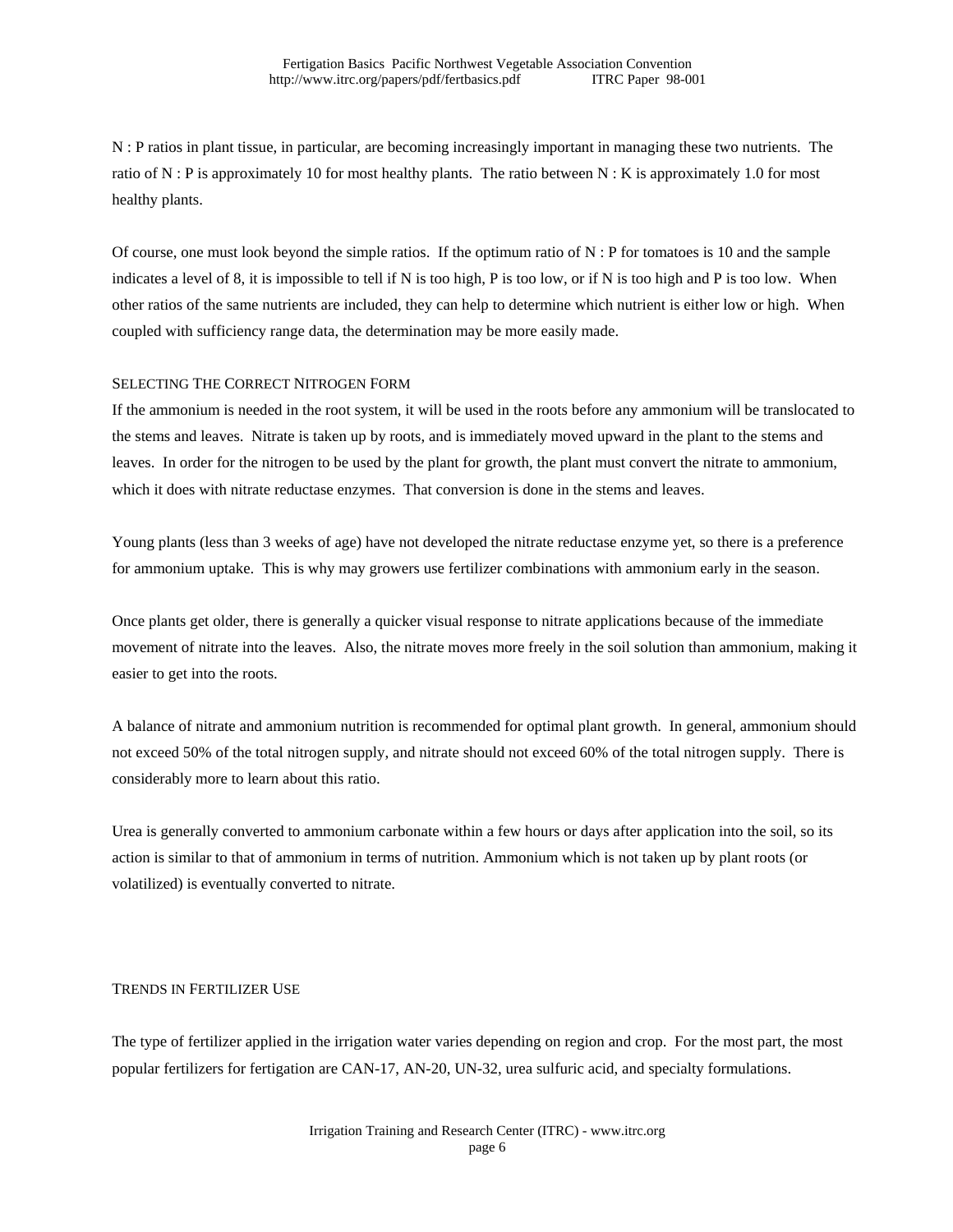N : P ratios in plant tissue, in particular, are becoming increasingly important in managing these two nutrients. The ratio of N : P is approximately 10 for most healthy plants. The ratio between N : K is approximately 1.0 for most healthy plants.

Of course, one must look beyond the simple ratios. If the optimum ratio of N : P for tomatoes is 10 and the sample indicates a level of 8, it is impossible to tell if N is too high, P is too low, or if N is too high and P is too low. When other ratios of the same nutrients are included, they can help to determine which nutrient is either low or high. When coupled with sufficiency range data, the determination may be more easily made.

### SELECTING THE CORRECT NITROGEN FORM

If the ammonium is needed in the root system, it will be used in the roots before any ammonium will be translocated to the stems and leaves. Nitrate is taken up by roots, and is immediately moved upward in the plant to the stems and leaves. In order for the nitrogen to be used by the plant for growth, the plant must convert the nitrate to ammonium, which it does with nitrate reductase enzymes. That conversion is done in the stems and leaves.

Young plants (less than 3 weeks of age) have not developed the nitrate reductase enzyme yet, so there is a preference for ammonium uptake. This is why may growers use fertilizer combinations with ammonium early in the season.

Once plants get older, there is generally a quicker visual response to nitrate applications because of the immediate movement of nitrate into the leaves. Also, the nitrate moves more freely in the soil solution than ammonium, making it easier to get into the roots.

A balance of nitrate and ammonium nutrition is recommended for optimal plant growth. In general, ammonium should not exceed 50% of the total nitrogen supply, and nitrate should not exceed 60% of the total nitrogen supply. There is considerably more to learn about this ratio.

Urea is generally converted to ammonium carbonate within a few hours or days after application into the soil, so its action is similar to that of ammonium in terms of nutrition. Ammonium which is not taken up by plant roots (or volatilized) is eventually converted to nitrate.

### TRENDS IN FERTILIZER USE

The type of fertilizer applied in the irrigation water varies depending on region and crop. For the most part, the most popular fertilizers for fertigation are CAN-17, AN-20, UN-32, urea sulfuric acid, and specialty formulations.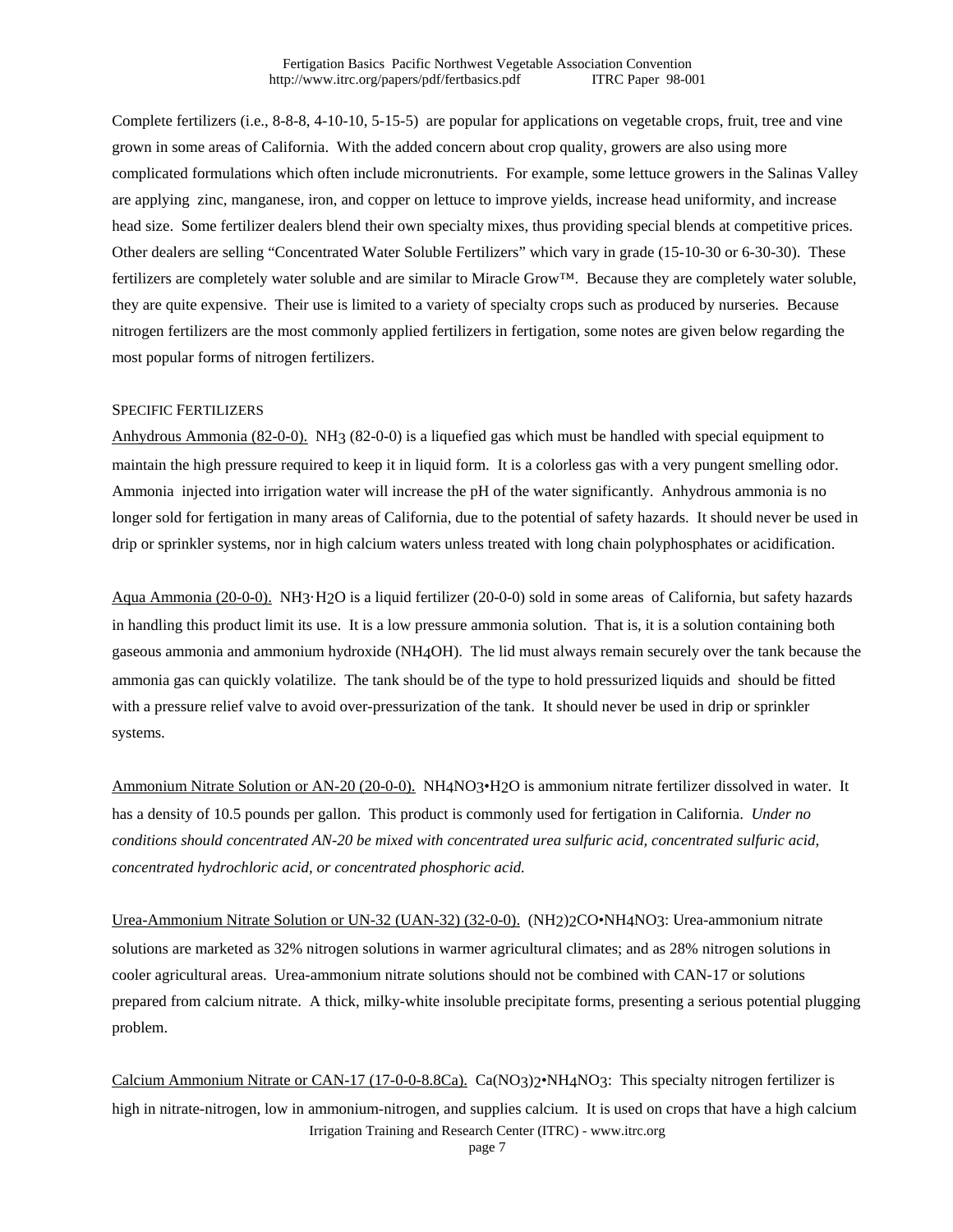Complete fertilizers (i.e., 8-8-8, 4-10-10, 5-15-5) are popular for applications on vegetable crops, fruit, tree and vine grown in some areas of California. With the added concern about crop quality, growers are also using more complicated formulations which often include micronutrients. For example, some lettuce growers in the Salinas Valley are applying zinc, manganese, iron, and copper on lettuce to improve yields, increase head uniformity, and increase head size. Some fertilizer dealers blend their own specialty mixes, thus providing special blends at competitive prices. Other dealers are selling "Concentrated Water Soluble Fertilizers" which vary in grade (15-10-30 or 6-30-30). These fertilizers are completely water soluble and are similar to Miracle Grow<sup>™</sup>. Because they are completely water soluble, they are quite expensive. Their use is limited to a variety of specialty crops such as produced by nurseries. Because nitrogen fertilizers are the most commonly applied fertilizers in fertigation, some notes are given below regarding the most popular forms of nitrogen fertilizers.

#### SPECIFIC FERTILIZERS

Anhydrous Ammonia (82-0-0). NH3 (82-0-0) is a liquefied gas which must be handled with special equipment to maintain the high pressure required to keep it in liquid form. It is a colorless gas with a very pungent smelling odor. Ammonia injected into irrigation water will increase the pH of the water significantly. Anhydrous ammonia is no longer sold for fertigation in many areas of California, due to the potential of safety hazards. It should never be used in drip or sprinkler systems, nor in high calcium waters unless treated with long chain polyphosphates or acidification.

Aqua Ammonia (20-0-0). NH3·H2O is a liquid fertilizer (20-0-0) sold in some areas of California, but safety hazards in handling this product limit its use. It is a low pressure ammonia solution. That is, it is a solution containing both gaseous ammonia and ammonium hydroxide (NH4OH). The lid must always remain securely over the tank because the ammonia gas can quickly volatilize. The tank should be of the type to hold pressurized liquids and should be fitted with a pressure relief valve to avoid over-pressurization of the tank. It should never be used in drip or sprinkler systems.

Ammonium Nitrate Solution or AN-20 (20-0-0). NH4NO3•H2O is ammonium nitrate fertilizer dissolved in water. It has a density of 10.5 pounds per gallon. This product is commonly used for fertigation in California. *Under no conditions should concentrated AN-20 be mixed with concentrated urea sulfuric acid, concentrated sulfuric acid, concentrated hydrochloric acid, or concentrated phosphoric acid.*

Urea-Ammonium Nitrate Solution or UN-32 (UAN-32) (32-0-0). (NH2)2CO•NH4NO3: Urea-ammonium nitrate solutions are marketed as 32% nitrogen solutions in warmer agricultural climates; and as 28% nitrogen solutions in cooler agricultural areas. Urea-ammonium nitrate solutions should not be combined with CAN-17 or solutions prepared from calcium nitrate. A thick, milky-white insoluble precipitate forms, presenting a serious potential plugging problem.

Irrigation Training and Research Center (ITRC) - www.itrc.org Calcium Ammonium Nitrate or CAN-17 (17-0-0-8.8Ca). Ca(NO3)2•NH4NO3: This specialty nitrogen fertilizer is high in nitrate-nitrogen, low in ammonium-nitrogen, and supplies calcium. It is used on crops that have a high calcium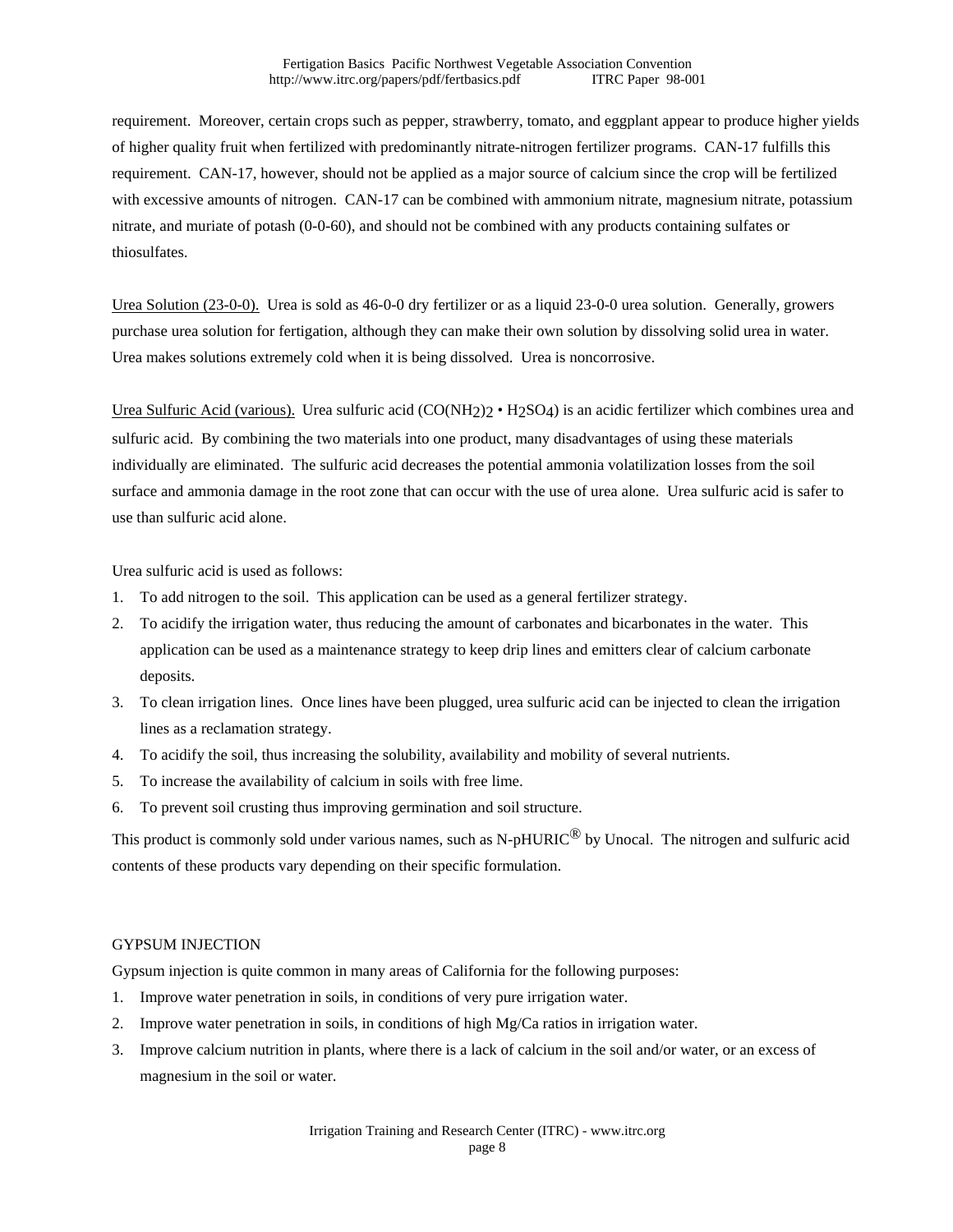requirement. Moreover, certain crops such as pepper, strawberry, tomato, and eggplant appear to produce higher yields of higher quality fruit when fertilized with predominantly nitrate-nitrogen fertilizer programs. CAN-17 fulfills this requirement. CAN-17, however, should not be applied as a major source of calcium since the crop will be fertilized with excessive amounts of nitrogen. CAN-17 can be combined with ammonium nitrate, magnesium nitrate, potassium nitrate, and muriate of potash (0-0-60), and should not be combined with any products containing sulfates or thiosulfates.

Urea Solution (23-0-0). Urea is sold as 46-0-0 dry fertilizer or as a liquid 23-0-0 urea solution. Generally, growers purchase urea solution for fertigation, although they can make their own solution by dissolving solid urea in water. Urea makes solutions extremely cold when it is being dissolved. Urea is noncorrosive.

Urea Sulfuric Acid (various). Urea sulfuric acid (CO(NH2)2 • H2SO4) is an acidic fertilizer which combines urea and sulfuric acid. By combining the two materials into one product, many disadvantages of using these materials individually are eliminated. The sulfuric acid decreases the potential ammonia volatilization losses from the soil surface and ammonia damage in the root zone that can occur with the use of urea alone. Urea sulfuric acid is safer to use than sulfuric acid alone.

Urea sulfuric acid is used as follows:

- 1. To add nitrogen to the soil. This application can be used as a general fertilizer strategy.
- 2. To acidify the irrigation water, thus reducing the amount of carbonates and bicarbonates in the water. This application can be used as a maintenance strategy to keep drip lines and emitters clear of calcium carbonate deposits.
- 3. To clean irrigation lines. Once lines have been plugged, urea sulfuric acid can be injected to clean the irrigation lines as a reclamation strategy.
- 4. To acidify the soil, thus increasing the solubility, availability and mobility of several nutrients.
- 5. To increase the availability of calcium in soils with free lime.
- 6. To prevent soil crusting thus improving germination and soil structure.

This product is commonly sold under various names, such as N-pHURIC<sup>®</sup> by Unocal. The nitrogen and sulfuric acid contents of these products vary depending on their specific formulation.

# GYPSUM INJECTION

Gypsum injection is quite common in many areas of California for the following purposes:

- 1. Improve water penetration in soils, in conditions of very pure irrigation water.
- 2. Improve water penetration in soils, in conditions of high  $Mg/Ca$  ratios in irrigation water.
- 3. Improve calcium nutrition in plants, where there is a lack of calcium in the soil and/or water, or an excess of magnesium in the soil or water.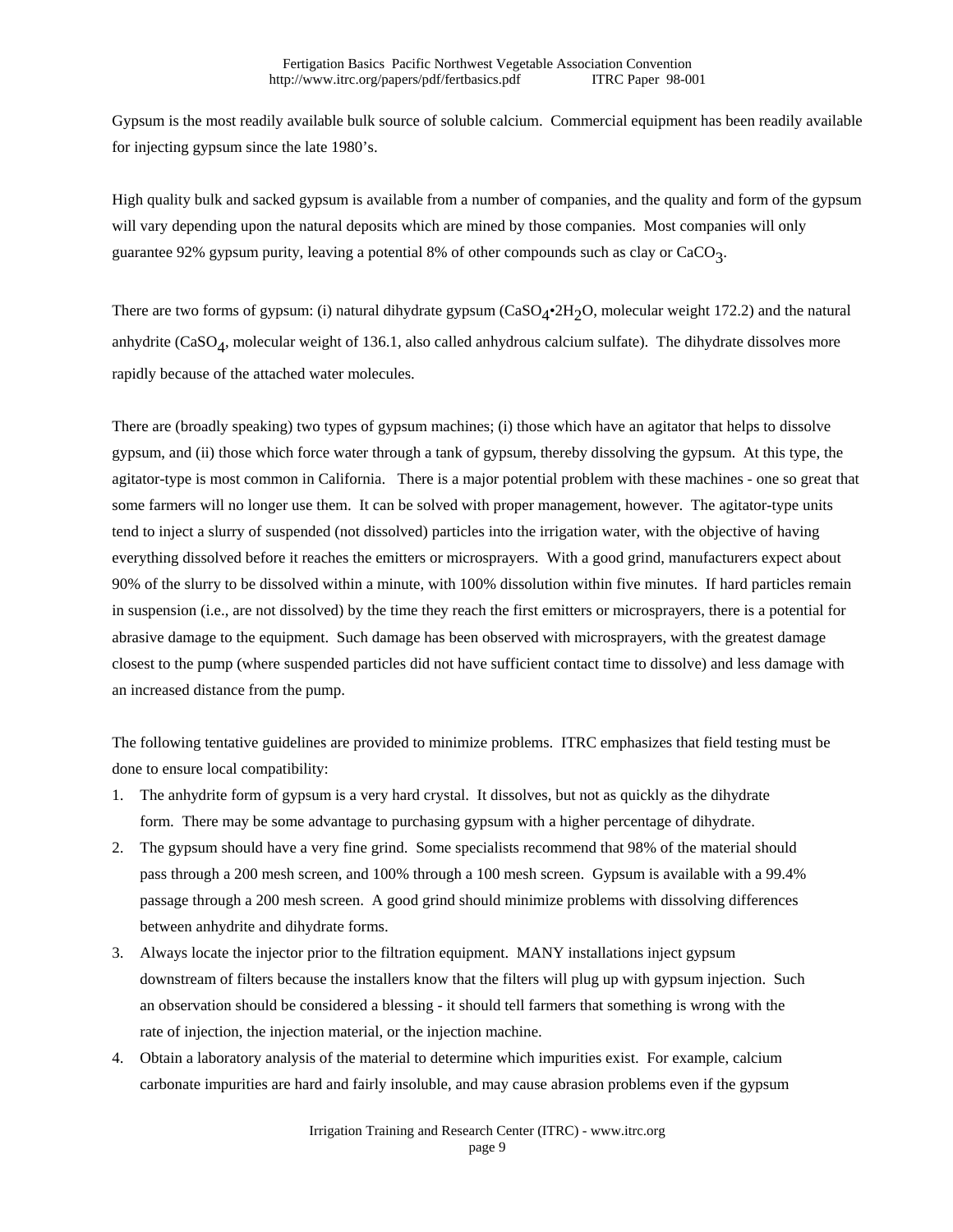Gypsum is the most readily available bulk source of soluble calcium. Commercial equipment has been readily available for injecting gypsum since the late 1980's.

High quality bulk and sacked gypsum is available from a number of companies, and the quality and form of the gypsum will vary depending upon the natural deposits which are mined by those companies. Most companies will only guarantee 92% gypsum purity, leaving a potential 8% of other compounds such as clay or CaCO3.

There are two forms of gypsum: (i) natural dihydrate gypsum  $(CaSO_4^{\bullet}2H_2O$ , molecular weight 172.2) and the natural anhydrite (CaSO4, molecular weight of 136.1, also called anhydrous calcium sulfate). The dihydrate dissolves more rapidly because of the attached water molecules.

There are (broadly speaking) two types of gypsum machines; (i) those which have an agitator that helps to dissolve gypsum, and (ii) those which force water through a tank of gypsum, thereby dissolving the gypsum. At this type, the agitator-type is most common in California. There is a major potential problem with these machines - one so great that some farmers will no longer use them. It can be solved with proper management, however. The agitator-type units tend to inject a slurry of suspended (not dissolved) particles into the irrigation water, with the objective of having everything dissolved before it reaches the emitters or microsprayers. With a good grind, manufacturers expect about 90% of the slurry to be dissolved within a minute, with 100% dissolution within five minutes. If hard particles remain in suspension (i.e., are not dissolved) by the time they reach the first emitters or microsprayers, there is a potential for abrasive damage to the equipment. Such damage has been observed with microsprayers, with the greatest damage closest to the pump (where suspended particles did not have sufficient contact time to dissolve) and less damage with an increased distance from the pump.

The following tentative guidelines are provided to minimize problems. ITRC emphasizes that field testing must be done to ensure local compatibility:

- 1. The anhydrite form of gypsum is a very hard crystal. It dissolves, but not as quickly as the dihydrate form. There may be some advantage to purchasing gypsum with a higher percentage of dihydrate.
- 2. The gypsum should have a very fine grind. Some specialists recommend that 98% of the material should pass through a 200 mesh screen, and 100% through a 100 mesh screen. Gypsum is available with a 99.4% passage through a 200 mesh screen. A good grind should minimize problems with dissolving differences between anhydrite and dihydrate forms.
- 3. Always locate the injector prior to the filtration equipment. MANY installations inject gypsum downstream of filters because the installers know that the filters will plug up with gypsum injection. Such an observation should be considered a blessing - it should tell farmers that something is wrong with the rate of injection, the injection material, or the injection machine.
- 4. Obtain a laboratory analysis of the material to determine which impurities exist. For example, calcium carbonate impurities are hard and fairly insoluble, and may cause abrasion problems even if the gypsum